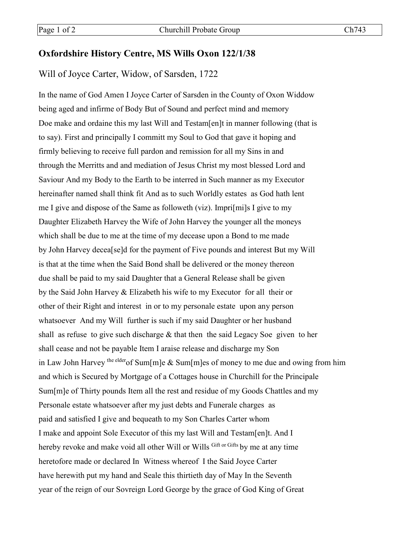## **Oxfordshire History Centre, MS Wills Oxon 122/1/38**

Will of Joyce Carter, Widow, of Sarsden, 1722

In the name of God Amen I Joyce Carter of Sarsden in the County of Oxon Widdow being aged and infirme of Body But of Sound and perfect mind and memory Doe make and ordaine this my last Will and Testam[en]t in manner following (that is to say). First and principally I committ my Soul to God that gave it hoping and firmly believing to receive full pardon and remission for all my Sins in and through the Merritts and and mediation of Jesus Christ my most blessed Lord and Saviour And my Body to the Earth to be interred in Such manner as my Executor hereinafter named shall think fit And as to such Worldly estates as God hath lent me I give and dispose of the Same as followeth (viz). Impri[mi]s I give to my Daughter Elizabeth Harvey the Wife of John Harvey the younger all the moneys which shall be due to me at the time of my decease upon a Bond to me made by John Harvey decea[se]d for the payment of Five pounds and interest But my Will is that at the time when the Said Bond shall be delivered or the money thereon due shall be paid to my said Daughter that a General Release shall be given by the Said John Harvey & Elizabeth his wife to my Executor for all their or other of their Right and interest in or to my personale estate upon any person whatsoever And my Will further is such if my said Daughter or her husband shall as refuse to give such discharge  $\&$  that then the said Legacy Soe given to her shall cease and not be payable Item I araise release and discharge my Son in Law John Harvey the elder of Sum [m] e & Sum [m] es of money to me due and owing from him and which is Secured by Mortgage of a Cottages house in Churchill for the Principale Sum[m]e of Thirty pounds Item all the rest and residue of my Goods Chattles and my Personale estate whatsoever after my just debts and Funerale charges as paid and satisfied I give and bequeath to my Son Charles Carter whom I make and appoint Sole Executor of this my last Will and Testam[en]t. And I hereby revoke and make void all other Will or Wills Gift or Gifts by me at any time heretofore made or declared In Witness whereof I the Said Joyce Carter have herewith put my hand and Seale this thirtieth day of May In the Seventh year of the reign of our Sovreign Lord George by the grace of God King of Great